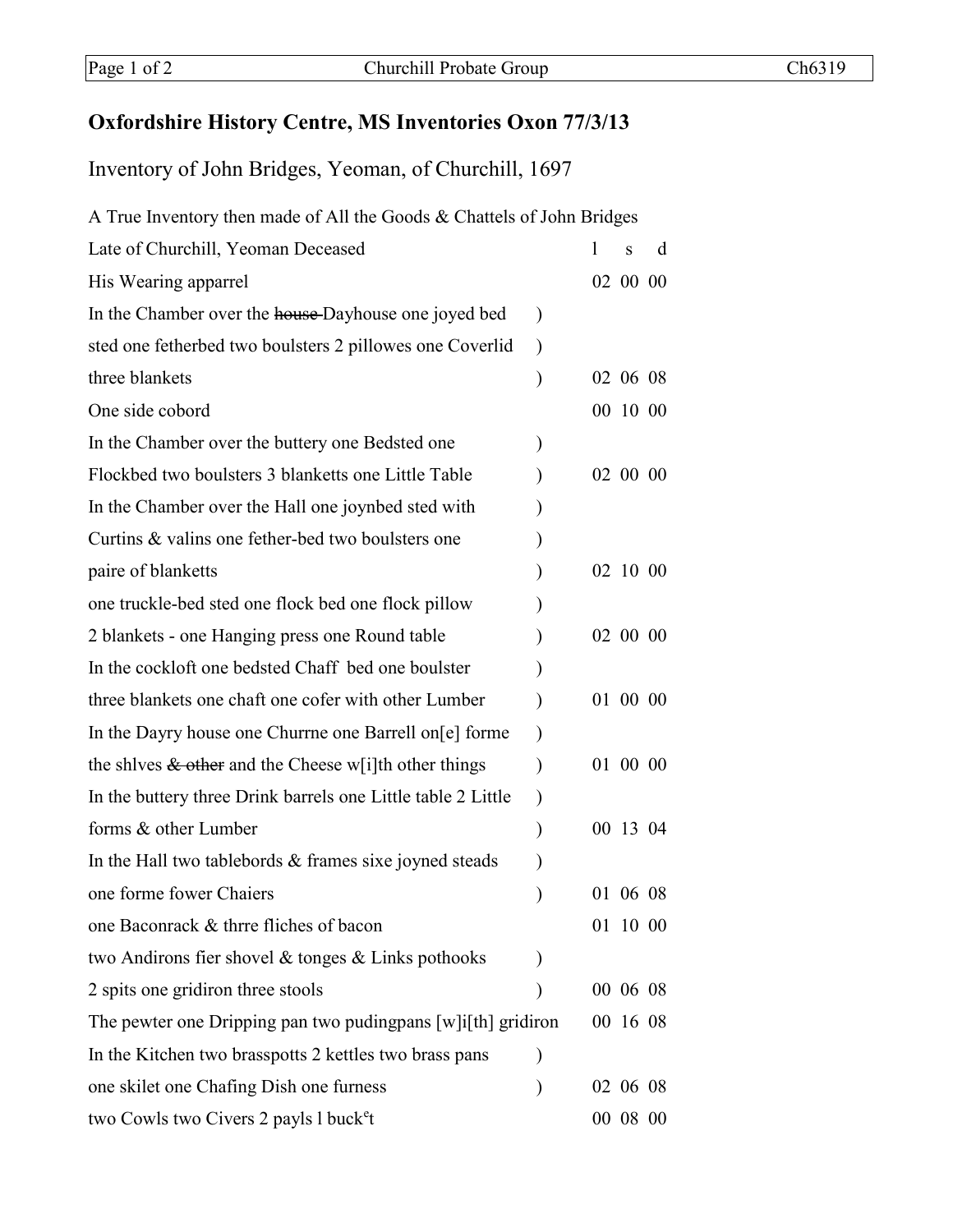## **Oxfordshire History Centre, MS Inventories Oxon 77/3/13**

Inventory of John Bridges, Yeoman, of Churchill, 1697

| A True Inventory then made of All the Goods & Chattels of John Bridges |           |  |          |   |  |  |
|------------------------------------------------------------------------|-----------|--|----------|---|--|--|
| Late of Churchill, Yeoman Deceased                                     |           |  | S        | d |  |  |
| His Wearing apparrel                                                   |           |  | 02 00 00 |   |  |  |
| In the Chamber over the house-Dayhouse one joyed bed                   | $\lambda$ |  |          |   |  |  |
| sted one fetherbed two boulsters 2 pillowes one Coverlid               | $\lambda$ |  |          |   |  |  |
| three blankets                                                         |           |  | 02 06 08 |   |  |  |
| One side cobord                                                        |           |  | 00 10 00 |   |  |  |
| In the Chamber over the buttery one Bedsted one                        |           |  |          |   |  |  |
| Flockbed two boulsters 3 blanketts one Little Table                    |           |  | 02 00 00 |   |  |  |
| In the Chamber over the Hall one joynbed sted with                     |           |  |          |   |  |  |
| Curtins & valins one fether-bed two boulsters one                      |           |  |          |   |  |  |
| paire of blanketts                                                     |           |  | 02 10 00 |   |  |  |
| one truckle-bed sted one flock bed one flock pillow                    |           |  |          |   |  |  |
| 2 blankets - one Hanging press one Round table                         |           |  | 02 00 00 |   |  |  |
| In the cockloft one bedsted Chaff bed one boulster                     |           |  |          |   |  |  |
| three blankets one chaft one cofer with other Lumber                   |           |  | 01 00 00 |   |  |  |
| In the Dayry house one Churrne one Barrell on [e] forme                |           |  |          |   |  |  |
| the shives $\&$ other and the Cheese w[i]th other things               |           |  | 01 00 00 |   |  |  |
| In the buttery three Drink barrels one Little table 2 Little           |           |  |          |   |  |  |
| forms & other Lumber                                                   |           |  | 00 13 04 |   |  |  |
| In the Hall two tablebords $\&$ frames sixe joyned steads              |           |  |          |   |  |  |
| one forme fower Chaiers                                                |           |  | 01 06 08 |   |  |  |
| one Baconrack & thrre fliches of bacon                                 |           |  | 01 10 00 |   |  |  |
| two Andirons fier shovel $\&$ tonges $\&$ Links pothooks               |           |  |          |   |  |  |
| 2 spits one gridiron three stools                                      |           |  | 00 06 08 |   |  |  |
| The pewter one Dripping pan two puding pans $[w]$ if the gridiron      |           |  | 00 16 08 |   |  |  |
| In the Kitchen two brasspotts 2 kettles two brass pans                 |           |  |          |   |  |  |
| one skilet one Chafing Dish one furness                                | $\lambda$ |  | 02 06 08 |   |  |  |
| two Cowls two Civers 2 payls 1 buck <sup>e</sup> t                     |           |  | 00 08 00 |   |  |  |